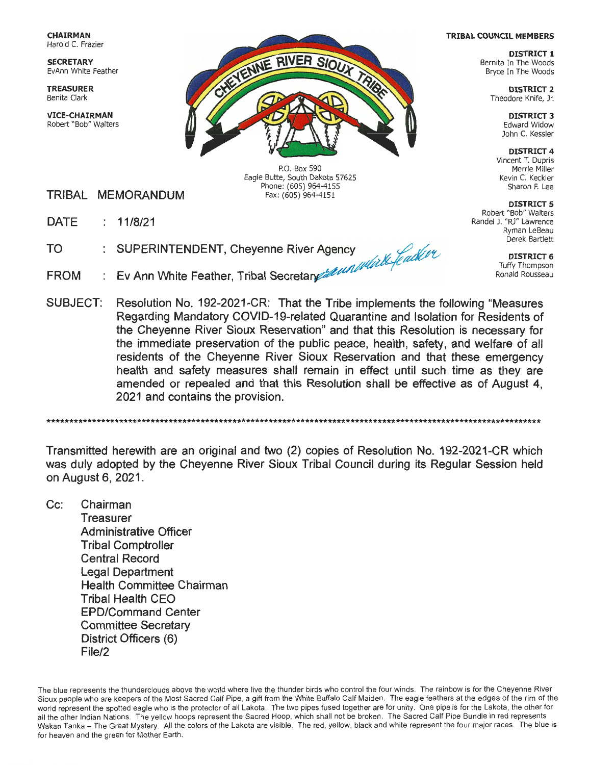**CHAIRMAN**  Harold C. Frazier

**SECRETARY**  EvAnn White Feather

**TREASURER**  Benita Clark

**VICE-CHAIRMAN**  Robert "Bob" Walters



P.O. Box 590 Eagle Butte, South Dakota 57625 Phone: (605) 964-4155 Fax: (605) 964-4151

- **TRIBAL MEMORANDUM**
- **11/8/21 DATE**
- **TO**  11/8/21<br>SUPERINTENDENT, Cheyenne River Agency
- **FROM Ev Ann White Feather, Tribal Secreta~**
- **SUBJECT: Resolution No. 192-2021-CR: That the Tribe implements the following "Measures Regarding Mandatory COVID-19-related Quarantine and Isolation for Residents of the Cheyenne River Sioux Reservation" and that this Resolution is necessary for the immediate preservation of the public peace, health, safety, and welfare of all residents of the Cheyenne River Sioux Reservation and that these emergency health and safety measures shall remain in effect until such time as they are amended or repealed and that this Resolution shall be effective as of August 4, 2021 and contains the provision.**

\*\*\*\*\*\*\*\*\*\*\*\*\*\*\*\*\*\*\*\*\*\*\*\*\*\*\*\*\*\*\*\*\*\*\*\*\*\*\*\*\*\*\*\*\*\*\*\*\*\*\*\*\*\*\*\*\*\*\*\*\*\*\*\*\*\*\*\*\*\*\*\*\*\*\*\*\*\*\*\*\*\*\*\*\*\*\*\*\*\*\*\*\*\*\*\*\*\*\*\*\*\*\*\*\*\*\*\*\*

**Transmitted herewith are an original and two (2) copies of Resolution No. 192-2021-CR which was duly adopted by the Cheyenne River Sioux Tribal Council during its Regular Session held on August 6, 2021.** 

**Cc: Chairman Treasurer Administrative Officer Tribal Comptroller Central Record Legal Department Health Committee Chairman Tribal Health CEO EPD/Command Center Committee Secretary District Officers (6) File/2** 

The blue represents the thunderclouds above the world where live the thunder birds who control the four winds. The rainbow is for the Cheyenne River Sioux people who are keepers of the Most Sacred Calf Pipe, a gift from the White Buffalo Calf Maiden . The eagle feathers at the edges of the rim of the world represent the spotted eagle who is the protector of all Lakota. The two pipes fused together are for unity. One pipe is for the Lakota, the other for all the other Indian Nations. The yellow hoops represent the Sacred Hoop, which shall not be broken. The Sacred Calf Pipe Bundle in red represents Wakan Tanka - The Great Mystery. All the colors of the Lakota are visible. The red, yellow, black and white represent the four major races. The blue is for heaven and the green for Mother Earth.

#### **TRIBAL COUNCIL MEMBERS**

**DISTRICT 1**  Bernita In The Woods Bryce In The Woods

> **DISTRICT 2**  Theodore Knife, Jr.

> > **DISTRICT 3**  Edward Widow John C. Kessler

**DISTRICT 4**  Vincent T. Dupris Merrie Miller Kevin C. Keckler Sharon F. Lee

**DISTRICT 5**  Robert "Bob" Walters Randel J. "RJ" Lawrence Ryman LeBeau Derek Bartlett

> **DISTRICT 6**  Tuffy Thompson Ronald Rousseau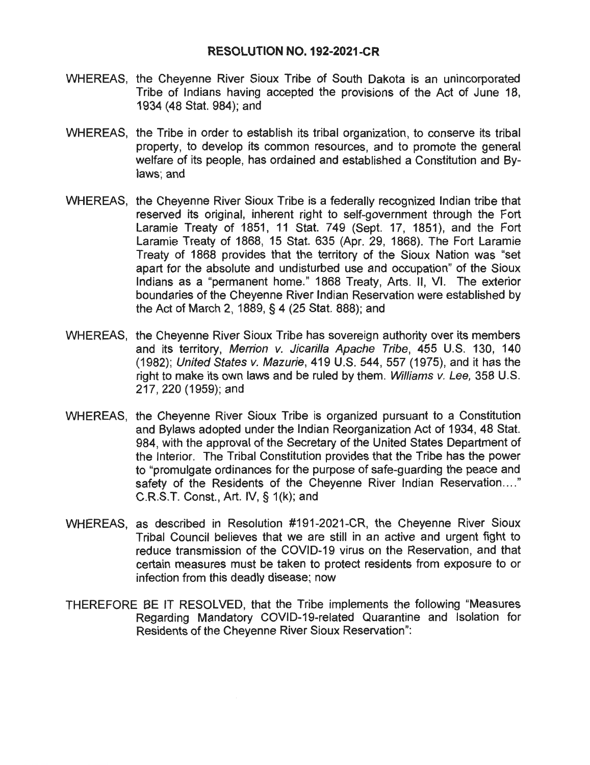### **RESOLUTION NO. 192-2021-CR**

- WHEREAS, the Cheyenne River Sioux Tribe of South Dakota is an unincorporated Tribe of Indians having accepted the provisions of the Act of June 18, 1934 (48 Stat. 984); and
- WHEREAS, the Tribe in order to establish its tribal organization, to conserve its tribal property, to develop its common resources, and to promote the general welfare of its people, has ordained and established a Constitution and Bylaws; and
- WHEREAS, the Cheyenne River Sioux Tribe is a federally recognized Indian tribe that reserved its original, inherent right to self-government through the Fort Laramie Treaty of 1851, 11 Stat. 749 (Sept. 17, 1851), and the Fort Laramie Treaty of 1868, 15 Stat. 635 (Apr. 29, 1868). The Fort Laramie Treaty of 1868 provides that the territory of the Sioux Nation was "set apart for the absolute and undisturbed use and occupation" of the Sioux Indians as a "permanent home." 1868 Treaty, Arts. 11, VI. The exterior boundaries of the Cheyenne River Indian Reservation were established by the Act of March 2, 1889, § 4 (25 Stat. 888); and
- WHEREAS, the Cheyenne River Sioux Tribe has sovereign authority over its members and its territory, Merrion v. Jicarilla Apache Tribe, 455 U.S. 130, 140 (1982); United States *v.* Mazurie, 419 U.S. 544, 557 (1975), and it has the right to make its own laws and be ruled by them. Williams v. Lee, 358 U.S. 217,220(1959);and
- WHEREAS, the Cheyenne River Sioux Tribe is organized pursuant to a Constitution and Bylaws adopted under the Indian Reorganization Act of 1934, 48 Stat. 984, with the approval of the Secretary of the United States Department of the Interior. The Tribal Constitution provides that the Tribe has the power to "promulgate ordinances for the purpose of safe-guarding the peace and safety of the Residents of the Cheyenne River Indian Reservation...." C.R.S.T. Const., Art. IV,§ 1(k); and
- WHEREAS, as described in Resolution #191-2021-CR, the Cheyenne River Sioux Tribal Council believes that we are still in an active and urgent fight to reduce transmission of the COVID-19 virus on the Reservation, and that certain measures must be taken to protect residents from exposure to or infection from this deadly disease; now
- THEREFORE BE IT RESOLVED, that the Tribe implements the following "Measures Regarding Mandatory COVID-19-related Quarantine and Isolation for Residents of the Cheyenne River Sioux Reservation":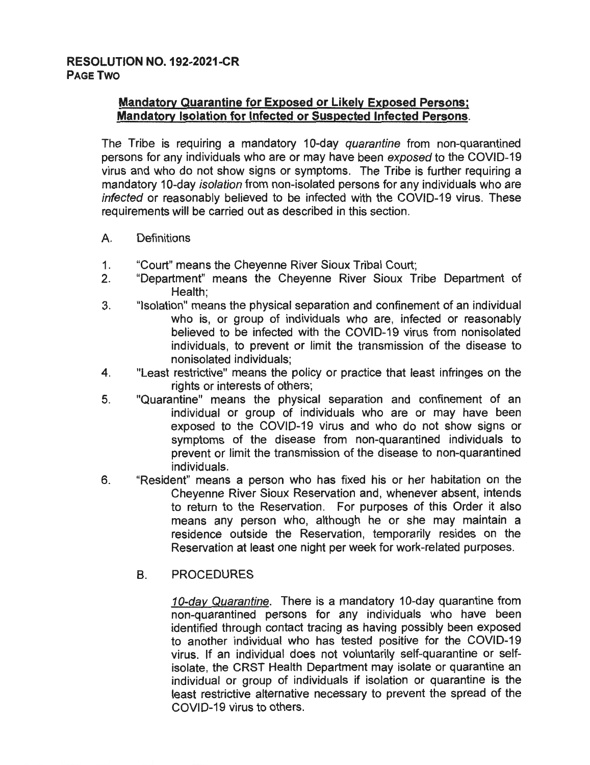## **Mandatory Quarantine for Exposed or Likely Exposed Persons; Mandatory Isolation for Infected or Suspected Infected Persons.**

The Tribe is requiring a mandatory 10-day quarantine from non-quarantined persons for any individuals who are or may have been exposed to the COVID-19 virus and who do not show signs or symptoms. The Tribe is further requiring a mandatory 10-day isolation from non-isolated persons for any individuals who are infected or reasonably believed to be infected with the COVID-19 virus. These requirements will be carried out as described in this section.

- A. Definitions
- 1. "Court" means the Cheyenne River Sioux Tribal Court;
- 2. "Department" means the Cheyenne River Sioux Tribe Department of Health;
- 3. "Isolation" means the physical separation and confinement of an individual who is, or group of individuals who are, infected or reasonably believed to be infected with the COVID-19 virus from nonisolated individuals, to prevent or limit the transmission of the disease to nonisolated individuals;
- 4. "Least restrictive" means the policy or practice that least infringes on the rights or interests of others;
- 5. "Quarantine" means the physical separation and confinement of an individual or group of individuals who are or may have been exposed to the COVID-19 virus and who do not show signs or symptoms of the disease from non-quarantined individuals to prevent or limit the transmission of the disease to non-quarantined individuals.
- 6. "Resident" means a person who has fixed his or her habitation on the Cheyenne River Sioux Reservation and, whenever absent, intends to return to the Reservation. For purposes of this Order it also means any person who, although he or she may maintain a residence outside the Reservation, temporarily resides on the Reservation at least one night per week for work-related purposes.
	- B. PROCEDURES

10-day Quarantine. There is a mandatory 10-day quarantine from non-quarantined persons for any individuals who have been identified through contact tracing as having possibly been exposed to another individual who has tested positive for the COVID-19 virus. If an individual does not voluntarily self-quarantine or selfisolate, the CRST Health Department may isolate or quarantine an individual or group of individuals if isolation or quarantine is the least restrictive alternative necessary to prevent the spread of the COVID-19 virus to others.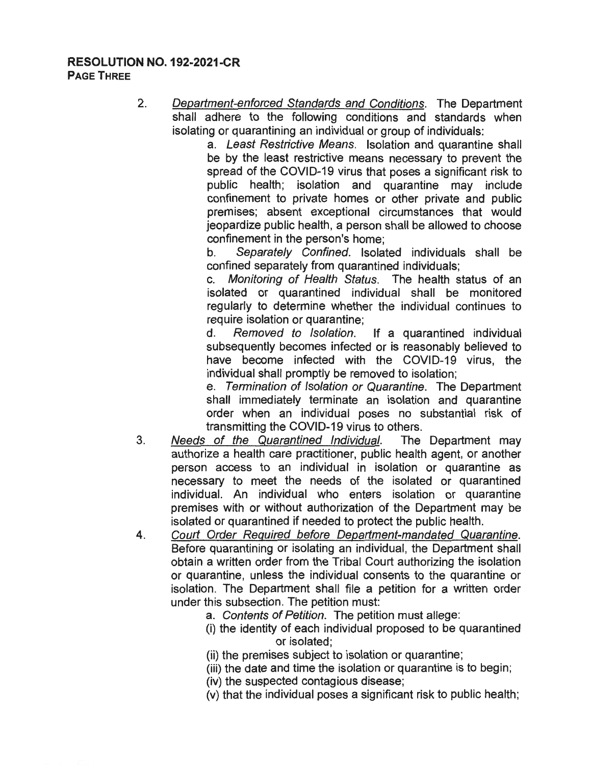## **RESOLUTION NO. 192-2021-CR PAGE THREE**

2. Department-enforced Standards and Conditions. The Department shall adhere to the following conditions and standards when isolating or quarantining an individual or group of individuals:

a. Least Restrictive Means. Isolation and quarantine shall be by the least restrictive means necessary to prevent the spread of the COVID-19 virus that poses a significant risk to public health; isolation and quarantine may include confinement to private homes or other private and public premises; absent exceptional circumstances that would jeopardize public health, a person shall be allowed to choose confinement in the person's home;

b. Separately Confined. Isolated individuals shall be confined separately from quarantined individuals;

c. Monitoring of Health Status. The health status of an isolated or quarantined individual shall be monitored regularly to determine whether the individual continues to require isolation or quarantine:

d. Removed to Isolation. If a quarantined individual subsequently becomes infected or is reasonably believed to have become infected with the COVID-19 virus, the individual shall promptly be removed to isolation;

e. Termination of Isolation or Quarantine. The Department shall immediately terminate an isolation and quarantine order when an individual poses no substantial risk of transmitting the COVID-19 virus to others.

- 3. Needs of the Quarantined Individual. The Department may authorize a health care practitioner, public health agent, or another person access to an individual in isolation or quarantine as necessary to meet the needs of the isolated or quarantined individual. An individual who enters isolation or quarantine premises with or without authorization of the Department may be isolated or quarantined if needed to protect the public health.
- 4. Court Order Required before Department-mandated Quarantine. Before quarantining or isolating an individual, the Department shall obtain a written order from the Tribal Court authorizing the isolation or quarantine, unless the individual consents to the quarantine or isolation. The Department shall file a petition for a written order under this subsection. The petition must:
	- a. Contents of Petition. The petition must allege:
	- (i) the identity of each individual proposed to be quarantined or isolated;
	- (ii) the premises subject to isolation or quarantine;
	- (iii) the date and time the isolation or quarantine is to begin;
	- (iv) the suspected contagious disease;
	- (v) that the individual poses a significant risk to public health;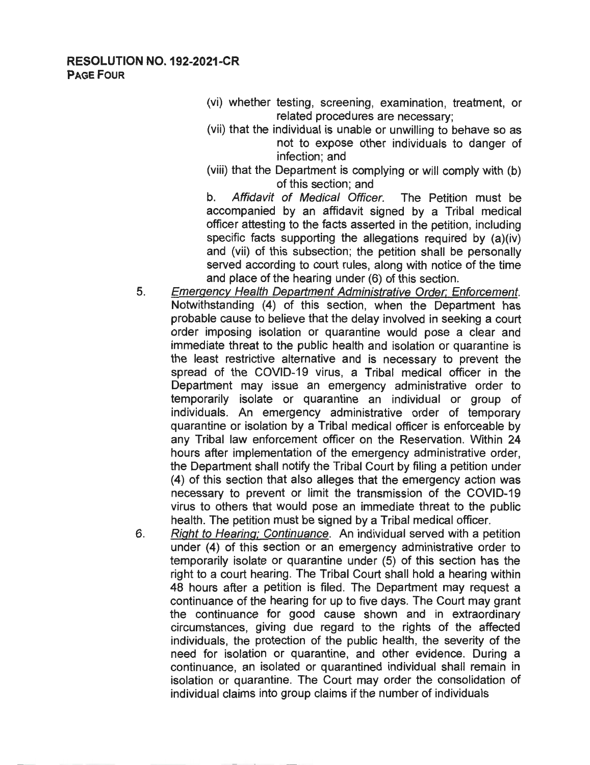## **RESOLUTION NO. 192-2021-CR PAGE FOUR**

- (vi) whether testing, screening, examination, treatment, or related procedures are necessary;
- (vii) that the individual is unable or unwilling to behave so as not to expose other individuals to danger of infection; and
- (viii) that the Department is complying or will comply with (b) of this section; and

b. Affidavit of Medical Officer. The Petition must be accompanied by an affidavit signed by a Tribal medical officer attesting to the facts asserted in the petition, including specific facts supporting the allegations required by (a)(iv) and (vii) of this subsection; the petition shall be personally served according to court rules, along with notice of the time and place of the hearing under (6) of this section.

- 5. Emergency Health Department Administrative Order; Enforcement. Notwithstanding (4) of this section, when the Department has probable cause to believe that the delay involved in seeking a court order imposing isolation or quarantine would pose a clear and immediate threat to the public health and isolation or quarantine is the least restrictive alternative and is necessary to prevent the spread of the COVID-19 virus, a Tribal medical officer in the Department may issue an emergency administrative order to temporarily isolate or quarantine an individual or group of individuals. An emergency administrative order of temporary quarantine or isolation by a Tribal medical officer is enforceable by any Tribal law enforcement officer on the Reservation. Within 24 hours after implementation of the emergency administrative order, the Department shall notify the Tribal Court by filing a petition under (4) of this section that also alleges that the emergency action was necessary to prevent or limit the transmission of the COVID-19 virus to others that would pose an immediate threat to the public health. The petition must be signed by a Tribal medical officer.
- 6. Right to Hearing; Continuance. An individual served with a petition under (4) of this section or an emergency administrative order to temporarily isolate or quarantine under (5) of this section has the right to a court hearing. The Tribal Court shall hold a hearing within 48 hours after a petition is filed. The Department may request a continuance of the hearing for up to five days. The Court may grant the continuance for good cause shown and in extraordinary circumstances, giving due regard to the rights of the affected individuals, the protection of the public health, the severity of the need for isolation or quarantine, and other evidence. During a continuance, an isolated or quarantined individual shall remain in isolation or quarantine. The Court may order the consolidation of individual claims into group claims if the number of individuals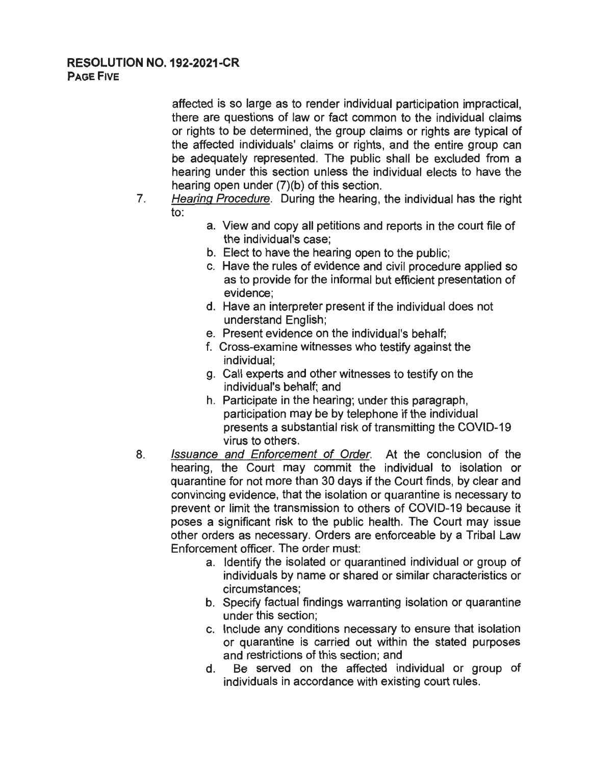## **RESOLUTION NO. 192-2021-CR PAGE FIVE**

affected is so large as to render individual participation impractical, there are questions of law or fact common to the individual claims or rights to be determined, the group claims or rights are typical of the affected individuals' claims or rights, and the entire group can be adequately represented. The public shall be excluded from a hearing under this section unless the individual elects to have the hearing open under (7)(b) of this section.

- 7. Hearing Procedure. During the hearing, the individual has the right to:
	- a. View and copy all petitions and reports in the court file of the individual's case;
	- b. Elect to have the hearing open to the public;
	- c. Have the rules of evidence and civil procedure applied so as to provide for the informal but efficient presentation of evidence;
	- d. Have an interpreter present if the individual does not understand English;
	- e. Present evidence on the individual's behalf;
	- f. Cross-examine witnesses who testify against the individual;
	- g. Call experts and other witnesses to testify on the individual's behalf; and
	- h. Participate in the hearing; under this paragraph, participation may be by telephone if the individual presents a substantial risk of transmitting the COVID-19 virus to others.
- 8. Issuance and Enforcement of Order. At the conclusion of the hearing, the Court may commit the individual to isolation or quarantine for not more than 30 days if the Court finds, by clear and convincing evidence, that the isolation or quarantine is necessary to prevent or limit the transmission to others of COVID-19 because it poses a significant risk to the public health. The Court may issue other orders as necessary. Orders are enforceable by a Tribal Law Enforcement officer. The order must:
	- a. Identify the isolated or quarantined individual or group of individuals by name or shared or similar characteristics or circumstances;
	- b. Specify factual findings warranting isolation or quarantine under this section;
	- c. Include any conditions necessary to ensure that isolation or quarantine is carried out within the stated purposes and restrictions of this section; and
	- d. Be served on the affected individual or group of individuals in accordance with existing court rules.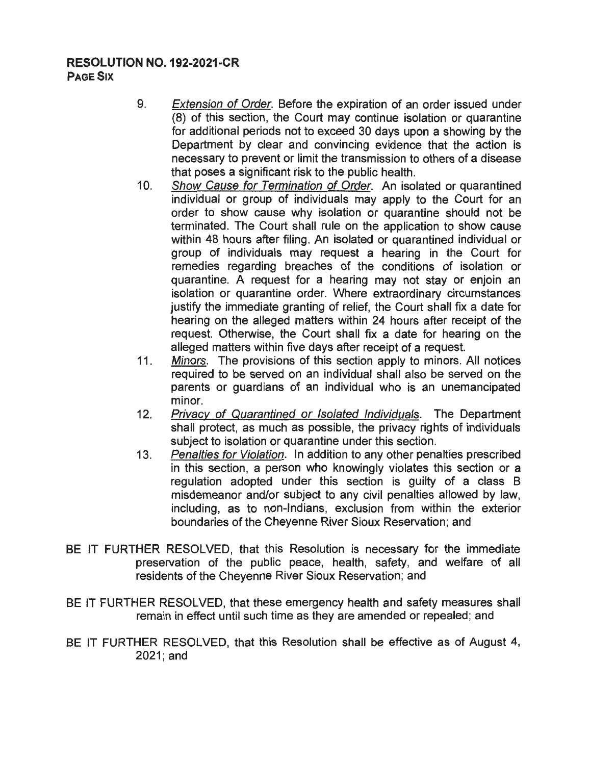## **RESOLUTION NO. 192-2021-CR PAGE SIX**

- 9. Extension of Order. Before the expiration of an order issued under (8) of this section, the Court may continue isolation or quarantine for additional periods not to exceed 30 days upon a showing by the Department by clear and convincing evidence that the action is necessary to prevent or limit the transmission to others of a disease that poses a significant risk to the public health.
- 10. Show Cause for Termination of Order. An isolated or quarantined individual or group of individuals may apply to the Court for an order to show cause why isolation or quarantine should not be terminated. The Court shall rule on the application to show cause within 48 hours after filing. An isolated or quarantined individual or group of individuals may request a hearing in the Court for remedies regarding breaches of the conditions of isolation or quarantine. A request for a hearing may not stay or enjoin an isolation or quarantine order. Where extraordinary circumstances justify the immediate granting of relief, the Court shall fix a date for hearing on the alleged matters within 24 hours after receipt of the request. Otherwise, the Court shall fix a date for hearing on the alleged matters within five days after receipt of a request.
- 11. Minors. The provisions of this section apply to minors. All notices required to be served on an individual shall also be served on the parents or guardians of an individual who is an unemancipated minor.
- 12. Privacy of Quarantined or Isolated Individuals. The Department shall protect, as much as possible, the privacy rights of individuals subject to isolation or quarantine under this section.
- 13. Penalties for Violation. In addition to any other penalties prescribed in this section, a person who knowingly violates this section or a regulation adopted under this section is guilty of a class B misdemeanor and/or subject to any civil penalties allowed by law, including, as to non-Indians, exclusion from within the exterior boundaries of the Cheyenne River Sioux Reservation; and
- BE IT FURTHER RESOLVED, that this Resolution is necessary for the immediate preservation of the public peace, health, safety, and welfare of all residents of the Cheyenne River Sioux Reservation; and
- BE IT FURTHER RESOLVED, that these emergency health and safety measures shall remain in effect until such time as they are amended or repealed; and
- BE IT FURTHER RESOLVED, that this Resolution shall be effective as of August 4, 2021;and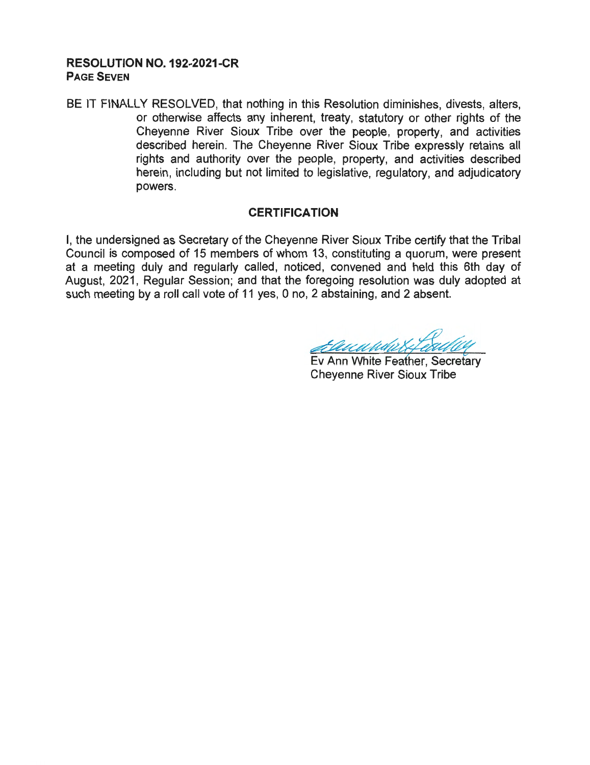## **RESOLUTION NO. 192-2021-CR PAGE SEVEN**

BE IT FINALLY RESOLVED, that nothing in this Resolution diminishes, divests, alters, or otherwise affects any inherent, treaty, statutory or other rights of the Cheyenne River Sioux Tribe over the people, property, and activities described herein. The Cheyenne River Sioux Tribe expressly retains all rights and authority over the people, property, and activities described herein, including but not limited to legislative, regulatory, and adjudicatory powers.

#### **CERTIFICATION**

I, the undersigned as Secretary of the Cheyenne River Sioux Tribe certify that the Tribal Council is composed of 15 members of whom 13, constituting a quorum, were present at a meeting duly and regularly called, noticed, convened and held this 6th day of August, 2021, Regular Session; and that the foregoing resolution was duly adopted at such meeting by a roll call vote of 11 yes, 0 no, 2 abstaining, and 2 absent.

Allen White Feather, Secretary<br>Ev Ann White Feather, Secretary<br>Cheyenne River Sioux Tribe

Cheyenne River Sioux Tribe